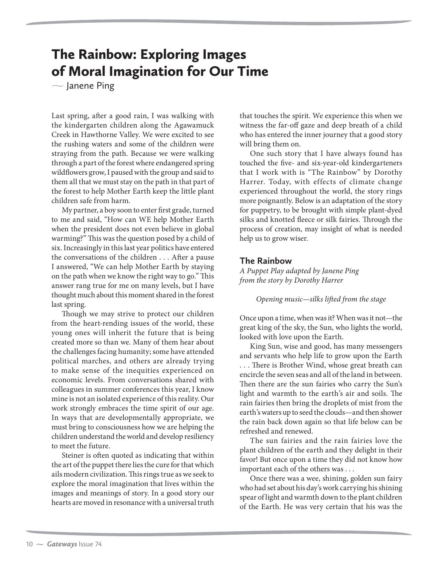# The Rainbow: Exploring Images  $\sim$  Janene Ping

Janene Ping

Last spring, after a good rain, I was walking with the kindergarten children along the Agawamuck Creek in Hawthorne Valley. We were excited to see the rushing waters and some of the children were straying from the path. Because we were walking through a part of the forest where endangered spring wildflowers grow, I paused with the group and said to them all that we must stay on the path in that part of the forest to help Mother Earth keep the little plant children safe from harm.

My partner, a boy soon to enter first grade, turned to me and said, "How can WE help Mother Earth when the president does not even believe in global warming?" This was the question posed by a child of six. Increasingly in this last year politics have entered the conversations of the children . . . After a pause I answered, "We can help Mother Earth by staying on the path when we know the right way to go." This answer rang true for me on many levels, but I have thought much about this moment shared in the forest last spring.

Though we may strive to protect our children from the heart-rending issues of the world, these young ones will inherit the future that is being created more so than we. Many of them hear about the challenges facing humanity; some have attended political marches, and others are already trying to make sense of the inequities experienced on economic levels. From conversations shared with colleagues in summer conferences this year, I know mine is not an isolated experience of this reality. Our work strongly embraces the time spirit of our age. In ways that are developmentally appropriate, we must bring to consciousness how we are helping the children understand the world and develop resiliency to meet the future.

Steiner is often quoted as indicating that within the art of the puppet there lies the cure for that which ails modern civilization. This rings true as we seek to explore the moral imagination that lives within the images and meanings of story. In a good story our hearts are moved in resonance with a universal truth

that touches the spirit. We experience this when we witness the far-off gaze and deep breath of a child who has entered the inner journey that a good story will bring them on.

One such story that I have always found has touched the five- and six-year-old kindergarteners that I work with is "The Rainbow" by Dorothy Harrer. Today, with effects of climate change experienced throughout the world, the story rings more poignantly. Below is an adaptation of the story for puppetry, to be brought with simple plant-dyed silks and knotted fleece or silk fairies. Through the process of creation, may insight of what is needed help us to grow wiser.

# **The Rainbow**

*A Puppet Play adapted by Janene Ping from the story by Dorothy Harrer*

*Opening music—silks lifted from the stage*

Once upon a time, when was it? When was it not—the great king of the sky, the Sun, who lights the world, looked with love upon the Earth.

King Sun, wise and good, has many messengers and servants who help life to grow upon the Earth . . . There is Brother Wind, whose great breath can encircle the seven seas and all of the land in between. Then there are the sun fairies who carry the Sun's light and warmth to the earth's air and soils. The rain fairies then bring the droplets of mist from the earth's waters up to seed the clouds—and then shower the rain back down again so that life below can be refreshed and renewed.

The sun fairies and the rain fairies love the plant children of the earth and they delight in their favor! But once upon a time they did not know how important each of the others was . . .

Once there was a wee, shining, golden sun fairy who had set about his day's work carrying his shining spear of light and warmth down to the plant children of the Earth. He was very certain that his was the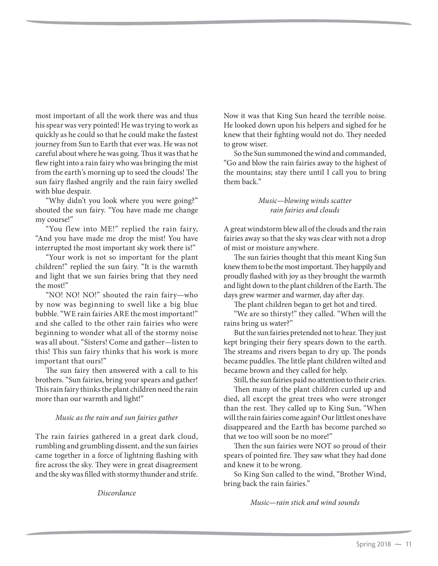most important of all the work there was and thus his spear was very pointed! He was trying to work as quickly as he could so that he could make the fastest journey from Sun to Earth that ever was. He was not careful about where he was going. Thus it was that he flew right into a rain fairy who was bringing the mist from the earth's morning up to seed the clouds! The sun fairy flashed angrily and the rain fairy swelled with blue despair.

"Why didn't you look where you were going?" shouted the sun fairy. "You have made me change my course!"

"You flew into ME!" replied the rain fairy, "And you have made me drop the mist! You have interrupted the most important sky work there is!"

"Your work is not so important for the plant children!" replied the sun fairy. "It is the warmth and light that we sun fairies bring that they need the most!"

"NO! NO! NO!" shouted the rain fairy—who by now was beginning to swell like a big blue bubble. "WE rain fairies ARE the most important!" and she called to the other rain fairies who were beginning to wonder what all of the stormy noise was all about. "Sisters! Come and gather—listen to this! This sun fairy thinks that his work is more important that ours!"

The sun fairy then answered with a call to his brothers. "Sun fairies, bring your spears and gather! This rain fairy thinks the plant children need the rain more than our warmth and light!"

# *Music as the rain and sun fairies gather*

The rain fairies gathered in a great dark cloud, rumbling and grumbling dissent, and the sun fairies came together in a force of lightning flashing with fire across the sky. They were in great disagreement and the sky was filled with stormy thunder and strife.

*Discordance*

Now it was that King Sun heard the terrible noise. He looked down upon his helpers and sighed for he knew that their fighting would not do. They needed to grow wiser.

So the Sun summoned the wind and commanded, "Go and blow the rain fairies away to the highest of the mountains; stay there until I call you to bring them back."

> *Music—blowing winds scatter rain fairies and clouds*

A great windstorm blew all of the clouds and the rain fairies away so that the sky was clear with not a drop of mist or moisture anywhere.

The sun fairies thought that this meant King Sun knew them to be the most important. They happily and proudly flashed with joy as they brought the warmth and light down to the plant children of the Earth. The days grew warmer and warmer, day after day.

The plant children began to get hot and tired.

"We are so thirsty!" they called. "When will the rains bring us water?"

But the sun fairies pretended not to hear. They just kept bringing their fiery spears down to the earth. The streams and rivers began to dry up. The ponds became puddles. The little plant children wilted and became brown and they called for help.

Still, the sun fairies paid no attention to their cries.

Then many of the plant children curled up and died, all except the great trees who were stronger than the rest. They called up to King Sun, "When will the rain fairies come again? Our littlest ones have disappeared and the Earth has become parched so that we too will soon be no more!"

Then the sun fairies were NOT so proud of their spears of pointed fire. They saw what they had done and knew it to be wrong.

So King Sun called to the wind, "Brother Wind, bring back the rain fairies."

*Music—rain stick and wind sounds*